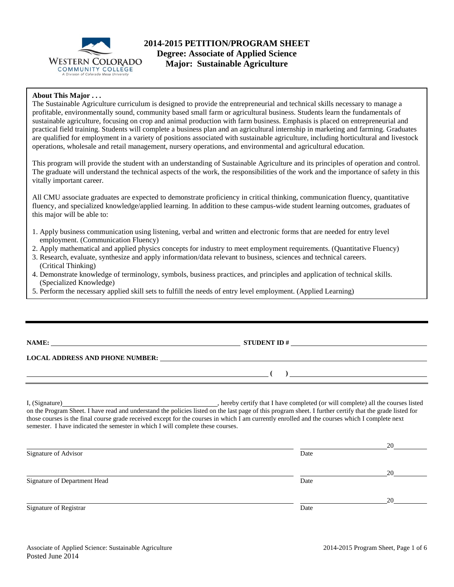

# **2014-2015 PETITION/PROGRAM SHEET Degree: Associate of Applied Science Major: Sustainable Agriculture**

#### **About This Major . . .**

The Sustainable Agriculture curriculum is designed to provide the entrepreneurial and technical skills necessary to manage a profitable, environmentally sound, community based small farm or agricultural business. Students learn the fundamentals of sustainable agriculture, focusing on crop and animal production with farm business. Emphasis is placed on entrepreneurial and practical field training. Students will complete a business plan and an agricultural internship in marketing and farming. Graduates are qualified for employment in a variety of positions associated with sustainable agriculture, including horticultural and livestock operations, wholesale and retail management, nursery operations, and environmental and agricultural education.

This program will provide the student with an understanding of Sustainable Agriculture and its principles of operation and control. The graduate will understand the technical aspects of the work, the responsibilities of the work and the importance of safety in this vitally important career.

All CMU associate graduates are expected to demonstrate proficiency in critical thinking, communication fluency, quantitative fluency, and specialized knowledge/applied learning. In addition to these campus-wide student learning outcomes, graduates of this major will be able to:

- 1. Apply business communication using listening, verbal and written and electronic forms that are needed for entry level employment. (Communication Fluency)
- 2. Apply mathematical and applied physics concepts for industry to meet employment requirements. (Quantitative Fluency)
- 3. Research, evaluate, synthesize and apply information/data relevant to business, sciences and technical careers. (Critical Thinking)
- 4. Demonstrate knowledge of terminology, symbols, business practices, and principles and application of technical skills. (Specialized Knowledge)
- 5. Perform the necessary applied skill sets to fulfill the needs of entry level employment. (Applied Learning)

| <b>NAME:</b> |  |
|--------------|--|
|              |  |

j

**STUDENT ID #** 

 $($   $)$   $)$ 

**LOCAL ADDRESS AND PHONE NUMBER:**

I, (Signature) **Solution** , hereby certify that I have completed (or will complete) all the courses listed on the Program Sheet. I have read and understand the policies listed on the last page of this program sheet. I further certify that the grade listed for those courses is the final course grade received except for the courses in which I am currently enrolled and the courses which I complete next semester. I have indicated the semester in which I will complete these courses.

|                              |      | 20 |
|------------------------------|------|----|
| Signature of Advisor         | Date |    |
|                              |      | 20 |
| Signature of Department Head | Date |    |
|                              |      | 20 |
| Signature of Registrar       | Date |    |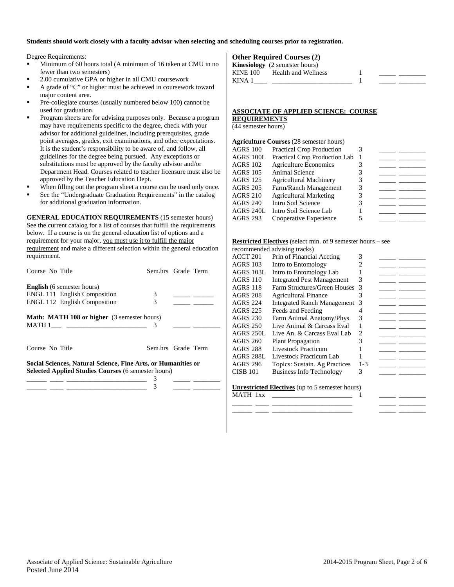#### **Students should work closely with a faculty advisor when selecting and scheduling courses prior to registration.**

Degree Requirements:

- Minimum of 60 hours total (A minimum of 16 taken at CMU in no fewer than two semesters)
- 2.00 cumulative GPA or higher in all CMU coursework
- A grade of "C" or higher must be achieved in coursework toward major content area.
- Pre-collegiate courses (usually numbered below 100) cannot be used for graduation.
- Program sheets are for advising purposes only. Because a program may have requirements specific to the degree, check with your advisor for additional guidelines, including prerequisites, grade point averages, grades, exit examinations, and other expectations. It is the student's responsibility to be aware of, and follow, all guidelines for the degree being pursued. Any exceptions or substitutions must be approved by the faculty advisor and/or Department Head. Courses related to teacher licensure must also be approved by the Teacher Education Dept.
- When filling out the program sheet a course can be used only once.
- See the "Undergraduate Graduation Requirements" in the catalog for additional graduation information.

**GENERAL EDUCATION REQUIREMENTS** (15 semester hours) See the current catalog for a list of courses that fulfill the requirements below. If a course is on the general education list of options and a requirement for your major, you must use it to fulfill the major requirement and make a different selection within the general education requirement.

| Course No Title                                                                                                             | Sem.hrs Grade Term |  |
|-----------------------------------------------------------------------------------------------------------------------------|--------------------|--|
| <b>English</b> (6 semester hours)                                                                                           |                    |  |
| <b>ENGL 111 English Composition</b>                                                                                         | 3                  |  |
| <b>ENGL 112 English Composition</b>                                                                                         | 3                  |  |
| <b>Math: MATH 108 or higher</b> (3 semester hours)                                                                          |                    |  |
|                                                                                                                             | 3                  |  |
| Course No Title                                                                                                             | Sem.hrs Grade Term |  |
| Social Sciences, Natural Science, Fine Arts, or Humanities or<br><b>Selected Applied Studies Courses (6 semester hours)</b> |                    |  |
|                                                                                                                             | 3                  |  |
|                                                                                                                             | 3                  |  |

#### **Other Required Courses (2)**

|          | <b>Kinesiology</b> (2 semester hours) |  |  |
|----------|---------------------------------------|--|--|
| KINE 100 | Health and Wellness                   |  |  |
| KINA 1   |                                       |  |  |

#### **ASSOCIATE OF APPLIED SCIENCE: COURSE REQUIREMENTS**

(44 semester hours)

|                 | <b>Agriculture Courses</b> (28 semester hours) |   |  |
|-----------------|------------------------------------------------|---|--|
| <b>AGRS 100</b> | <b>Practical Crop Production</b>               | 3 |  |
| AGRS 100L       | <b>Practical Crop Production Lab</b>           |   |  |
| <b>AGRS 102</b> | <b>Agriculture Economics</b>                   |   |  |
| <b>AGRS 105</b> | Animal Science                                 |   |  |
| <b>AGRS 125</b> | <b>Agricultural Machinery</b>                  | 3 |  |
| <b>AGRS 205</b> | Farm/Ranch Management                          | 3 |  |
| <b>AGRS 210</b> | <b>Agricultural Marketing</b>                  | 3 |  |
| <b>AGRS 240</b> | Intro Soil Science                             |   |  |
| AGRS 240L       | Intro Soil Science Lab                         |   |  |
| <b>AGRS 293</b> | Cooperative Experience                         |   |  |
|                 |                                                |   |  |

#### **Restricted Electives** (select min. of 9 semester hours – see

|  | recommended advising tracks) |  |
|--|------------------------------|--|
|--|------------------------------|--|

|                 | recommended advising tracks)                                                     |         |  |
|-----------------|----------------------------------------------------------------------------------|---------|--|
| ACCT 201        | Prin of Financial Accting                                                        | 3       |  |
| AGRS 103        | Intro to Entomology                                                              |         |  |
| AGRS 103L       | Intro to Entomology Lab                                                          |         |  |
| AGRS 110        | <b>Integrated Pest Management</b>                                                | 3       |  |
| AGRS 118        | Farm Structures/Green Houses                                                     | 3       |  |
| AGRS 208        | <b>Agricultural Finance</b>                                                      | 3       |  |
| <b>AGRS 224</b> | <b>Integrated Ranch Management</b>                                               | 3       |  |
| AGRS 225        | Feeds and Feeding                                                                | 4       |  |
| <b>AGRS 230</b> | Farm Animal Anatomy/Phys                                                         | 3       |  |
| <b>AGRS 250</b> | Live Animal & Carcass Eval                                                       |         |  |
| AGRS 250L       | Live An. & Carcass Eval Lab                                                      | 2       |  |
| AGRS 260        | <b>Plant Propagation</b>                                                         | 3       |  |
| AGRS 288        | Livestock Practicum                                                              |         |  |
| AGRS 288L       | Livestock Practicum Lab                                                          |         |  |
| AGRS 296        | Topics: Sustain. Ag Practices                                                    | $1 - 3$ |  |
| CISB 101        | <b>Business Info Technology</b>                                                  | 3       |  |
|                 |                                                                                  |         |  |
|                 | $\mathbf{I}$ measurated $\mathbf{F}$ leating (un to $\mathbf{F}$ comester hours) |         |  |

\_\_\_\_\_\_ \_\_\_\_ \_\_\_\_\_\_\_\_\_\_\_\_\_\_\_\_\_\_\_\_\_\_\_\_ \_\_\_\_\_ \_\_\_\_\_\_\_\_ \_\_\_\_\_\_ \_\_\_\_ \_\_\_\_\_\_\_\_\_\_\_\_\_\_\_\_\_\_\_\_\_\_\_\_ \_\_\_\_\_ \_\_\_\_\_\_\_\_

**Unrestricted Electives** (up to 5 semester hours)  $MATH$   $1xx$   $1$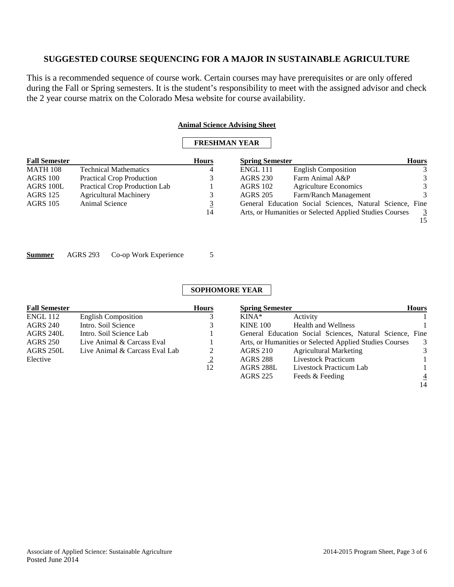This is a recommended sequence of course work. Certain courses may have prerequisites or are only offered during the Fall or Spring semesters. It is the student's responsibility to meet with the assigned advisor and check the 2 year course matrix on the Colorado Mesa website for course availability.

#### **Animal Science Advising Sheet**

## **FRESHMAN YEAR**

| <b>Fall Semester</b> |                                  | <b>Hours</b> | <b>Spring Semester</b> |                                                          | <b>Hours</b>  |
|----------------------|----------------------------------|--------------|------------------------|----------------------------------------------------------|---------------|
| <b>MATH 108</b>      | <b>Technical Mathematics</b>     | 4            | <b>ENGL 111</b>        | <b>English Composition</b>                               | 3             |
| AGRS 100             | <b>Practical Crop Production</b> |              | <b>AGRS 230</b>        | Farm Animal A&P                                          | 3             |
| AGRS 100L            | Practical Crop Production Lab    |              | <b>AGRS 102</b>        | <b>Agriculture Economics</b>                             | 3             |
| AGRS 125             | <b>Agricultural Machinery</b>    |              | <b>AGRS 205</b>        | Farm/Ranch Management                                    | $\mathcal{R}$ |
| <b>AGRS</b> 105      | Animal Science                   | <u>3</u>     |                        | General Education Social Sciences, Natural Science, Fine |               |
|                      |                                  | 14           |                        | Arts, or Humanities or Selected Applied Studies Courses  | 3             |
|                      |                                  |              |                        |                                                          | 15            |

**Summer** AGRS 293 Co-op Work Experience 5

### **SOPHOMORE YEAR**

| <b>Fall Semester</b> |                                | <b>Hours</b>   | <b>Spring Semester</b> |                                                          | <b>Hours</b>   |
|----------------------|--------------------------------|----------------|------------------------|----------------------------------------------------------|----------------|
| <b>ENGL 112</b>      | <b>English Composition</b>     |                | $KINA*$                | Activity                                                 |                |
| <b>AGRS 240</b>      | Intro. Soil Science            |                | <b>KINE 100</b>        | <b>Health and Wellness</b>                               |                |
| AGRS 240L            | Intro. Soil Science Lab        |                |                        | General Education Social Sciences, Natural Science, Fine |                |
| <b>AGRS 250</b>      | Live Animal & Carcass Eval     |                |                        | Arts, or Humanities or Selected Applied Studies Courses  | -3             |
| AGRS 250L            | Live Animal & Carcass Eval Lab | 2              | <b>AGRS 210</b>        | <b>Agricultural Marketing</b>                            | 3              |
| Elective             |                                | $\overline{2}$ | AGRS 288               | Livestock Practicum                                      |                |
|                      |                                | 12             | AGRS 288L              | Livestock Practicum Lab                                  |                |
|                      |                                |                | <b>AGRS 225</b>        | Feeds & Feeding                                          | $\overline{4}$ |

14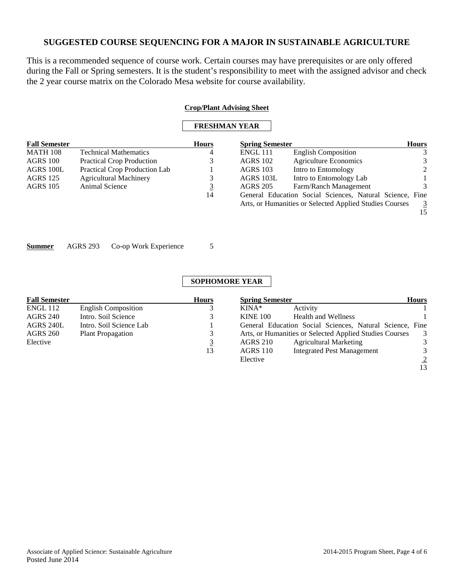This is a recommended sequence of course work. Certain courses may have prerequisites or are only offered during the Fall or Spring semesters. It is the student's responsibility to meet with the assigned advisor and check the 2 year course matrix on the Colorado Mesa website for course availability.

|                      |                |                                  |                | <b>Crop/Plant Advising Sheet</b> |                                                                                                                     |                      |
|----------------------|----------------|----------------------------------|----------------|----------------------------------|---------------------------------------------------------------------------------------------------------------------|----------------------|
|                      |                |                                  |                | <b>FRESHMAN YEAR</b>             |                                                                                                                     |                      |
| <b>Fall Semester</b> |                |                                  | <b>Hours</b>   | <b>Spring Semester</b>           |                                                                                                                     | Hours                |
| <b>MATH 108</b>      |                | <b>Technical Mathematics</b>     |                | <b>ENGL 111</b>                  | <b>English Composition</b>                                                                                          | 3                    |
| AGRS 100             |                | <b>Practical Crop Production</b> | Ć              | <b>AGRS 102</b>                  | <b>Agriculture Economics</b>                                                                                        | 3                    |
| AGRS 100L            |                | Practical Crop Production Lab    |                | <b>AGRS 103</b>                  | Intro to Entomology                                                                                                 |                      |
| AGRS 125             |                | <b>Agricultural Machinery</b>    | 3              | AGRS 103L                        | Intro to Entomology Lab                                                                                             |                      |
| AGRS 105             | Animal Science |                                  | $\overline{3}$ | <b>AGRS 205</b>                  | Farm/Ranch Management                                                                                               | 3                    |
|                      |                |                                  | 14             |                                  | General Education Social Sciences, Natural Science, Fine<br>Arts, or Humanities or Selected Applied Studies Courses | $\overline{3}$<br>15 |
| Su <u>mmer</u>       | AGRS 293       | Co-op Work Experience            | 5              |                                  |                                                                                                                     |                      |
|                      |                |                                  |                | <b>SOPHOMORE YEAR</b>            |                                                                                                                     |                      |

| <b>Fall Semester</b> |                            | <b>Hours</b> | <b>Spring Semester</b> |                                                          | <b>Hours</b>   |
|----------------------|----------------------------|--------------|------------------------|----------------------------------------------------------|----------------|
| <b>ENGL 112</b>      | <b>English Composition</b> |              | $KINA*$                | Activity                                                 |                |
| <b>AGRS 240</b>      | Intro. Soil Science        |              | <b>KINE 100</b>        | <b>Health and Wellness</b>                               |                |
| AGRS 240L            | Intro. Soil Science Lab    |              |                        | General Education Social Sciences, Natural Science, Fine |                |
| <b>AGRS 260</b>      | <b>Plant Propagation</b>   |              |                        | Arts, or Humanities or Selected Applied Studies Courses  | 3              |
| Elective             |                            | 3            | <b>AGRS 210</b>        | <b>Agricultural Marketing</b>                            | 3              |
|                      |                            | 13           | <b>AGRS</b> 110        | <b>Integrated Pest Management</b>                        | 3              |
|                      |                            |              | Elective               |                                                          | $\overline{2}$ |
|                      |                            |              |                        |                                                          | 13             |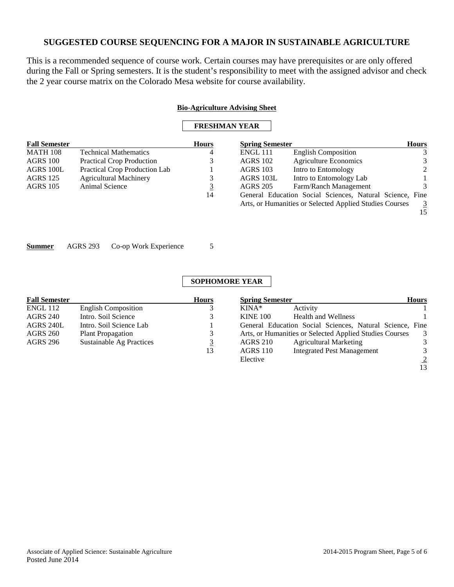This is a recommended sequence of course work. Certain courses may have prerequisites or are only offered during the Fall or Spring semesters. It is the student's responsibility to meet with the assigned advisor and check the 2 year course matrix on the Colorado Mesa website for course availability.

|                      |                                          |                | <b>Bio-Agriculture Advising Sheet</b> |                                                          |                |
|----------------------|------------------------------------------|----------------|---------------------------------------|----------------------------------------------------------|----------------|
|                      |                                          |                | <b>FRESHMAN YEAR</b>                  |                                                          |                |
| <b>Fall Semester</b> |                                          | <b>Hours</b>   | <b>Spring Semester</b>                |                                                          | <b>Hours</b>   |
| <b>MATH 108</b>      | <b>Technical Mathematics</b>             |                | <b>ENGL 111</b>                       | <b>English Composition</b>                               | 3              |
| <b>AGRS 100</b>      | <b>Practical Crop Production</b>         | 3              | <b>AGRS 102</b>                       | Agriculture Economics                                    | 3              |
| AGRS 100L            | Practical Crop Production Lab            |                | <b>AGRS 103</b>                       | Intro to Entomology                                      | 2              |
| <b>AGRS 125</b>      | <b>Agricultural Machinery</b>            | 3              | AGRS 103L                             | Intro to Entomology Lab                                  |                |
| <b>AGRS 105</b>      | Animal Science                           | $\overline{3}$ | <b>AGRS 205</b>                       | Farm/Ranch Management                                    | 3              |
|                      |                                          | 14             |                                       | General Education Social Sciences, Natural Science, Fine |                |
|                      |                                          |                |                                       | Arts, or Humanities or Selected Applied Studies Courses  | $\overline{3}$ |
|                      |                                          |                |                                       |                                                          | 15             |
|                      |                                          |                |                                       |                                                          |                |
|                      |                                          |                |                                       |                                                          |                |
| <b>Summer</b>        | <b>AGRS 293</b><br>Co-op Work Experience | 5              |                                       |                                                          |                |

## **SOPHOMORE YEAR**

| <b>Fall Semester</b> |                                 | <b>Hours</b> | <b>Spring Semester</b>                                   | <b>Hours</b>   |
|----------------------|---------------------------------|--------------|----------------------------------------------------------|----------------|
| ENGL 112             | <b>English Composition</b>      |              | Activity<br>$KINA*$                                      |                |
| <b>AGRS 240</b>      | Intro. Soil Science             |              | <b>Health and Wellness</b><br><b>KINE 100</b>            |                |
| AGRS 240L            | Intro. Soil Science Lab         |              | General Education Social Sciences, Natural Science, Fine |                |
| <b>AGRS 260</b>      | <b>Plant Propagation</b>        |              | Arts, or Humanities or Selected Applied Studies Courses  | 3              |
| AGRS 296             | <b>Sustainable Ag Practices</b> |              | <b>Agricultural Marketing</b><br><b>AGRS 210</b>         | 3              |
|                      |                                 | 13           | <b>Integrated Pest Management</b><br><b>AGRS 110</b>     | 3              |
|                      |                                 |              | Elective                                                 | $\overline{2}$ |

13